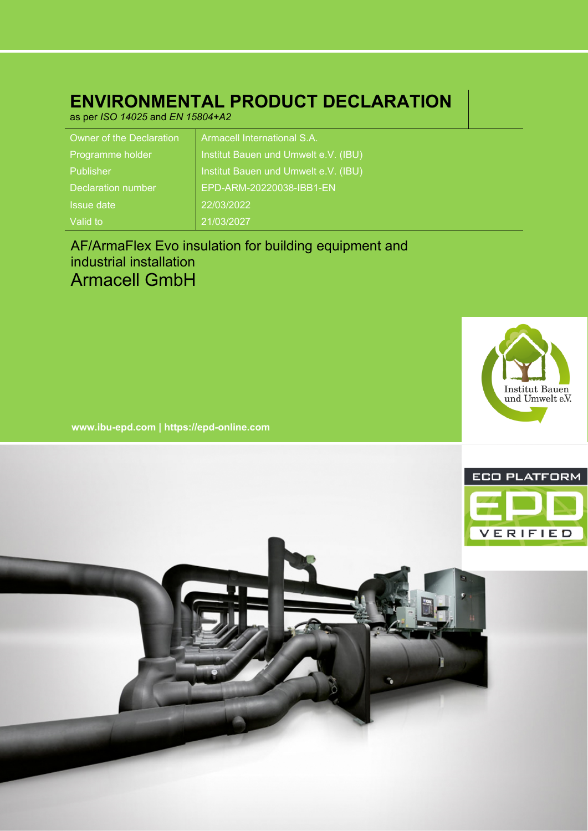## **ENVIRONMENTAL PRODUCT DECLARATION**

as per *ISO 14025* and *EN 15804+A2*

| <b>Owner of the Declaration</b> | Armacell International S.A.          |
|---------------------------------|--------------------------------------|
| Programme holder                | Institut Bauen und Umwelt e.V. (IBU) |
| Publisher                       | Institut Bauen und Umwelt e.V. (IBU) |
| Declaration number              | EPD-ARM-20220038-IBB1-EN             |
| Issue date                      | 22/03/2022                           |
| Valid to                        | 21/03/2027                           |

## AF/ArmaFlex Evo insulation for building equipment and industrial installation Armacell GmbH



**www.ibu-epd.com | https://epd-online.com**

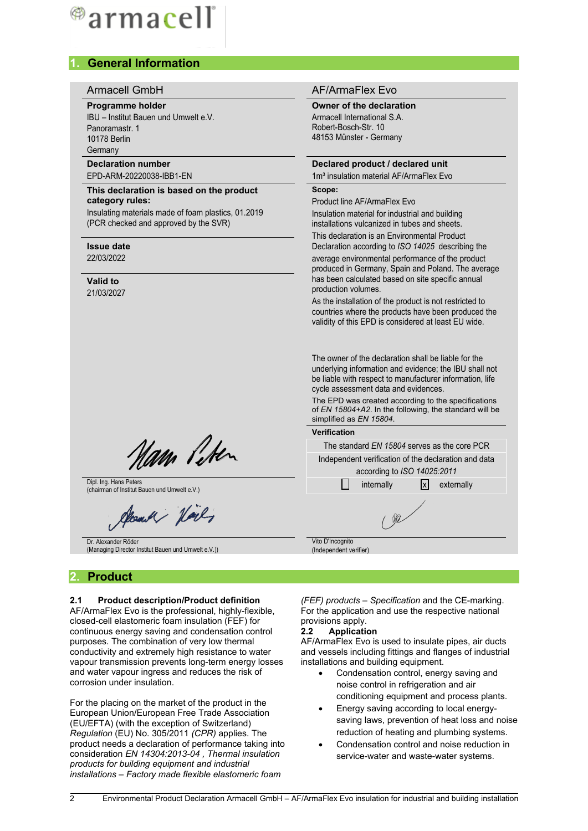# ®armacell

## **1. General Information**

#### **Programme holder**

IBU – Institut Bauen und Umwelt e.V. Panoramastr. 1 10178 Berlin **Germany** 

## **Declaration number**

EPD-ARM-20220038-IBB1-EN

#### **This declaration is based on the product category rules:**

Insulating materials made of foam plastics, 01.2019 (PCR checked and approved by the SVR)

#### **Issue date** 22/03/2022

## **Valid to**

21/03/2027

## Armacell GmbH AF/ArmaFlex Evo

#### **Owner of the declaration**

Armacell International S.A. Robert-Bosch-Str. 10 48153 Münster - Germany

#### **Declared product / declared unit**

1m<sup>3</sup> insulation material AF/ArmaFlex Evo

## **Scope:**

Product line AF/ArmaFlex Evo Insulation material for industrial and building installations vulcanized in tubes and sheets.

This declaration is an Environmental Product Declaration according to *ISO 14025* describing the

average environmental performance of the product produced in Germany, Spain and Poland. The average has been calculated based on site specific annual production volumes.

As the installation of the product is not restricted to countries where the products have been produced the validity of this EPD is considered at least EU wide.

The owner of the declaration shall be liable for the underlying information and evidence; the IBU shall not be liable with respect to manufacturer information, life cycle assessment data and evidences.

The EPD was created according to the specifications of *EN 15804+A2*. In the following, the standard will be simplified as *EN 15804*.



Nam Peter

Dipl. Ing. Hans Peters

Count Hard

Dr. Alexander Röder (Managing Director Institut Bauen und Umwelt e.V.))

## **2. Product**

#### **2.1 Product description/Product definition**

AF/ArmaFlex Evo is the professional, highly-flexible, closed-cell elastomeric foam insulation (FEF) for continuous energy saving and condensation control purposes. The combination of very low thermal conductivity and extremely high resistance to water vapour transmission prevents long-term energy losses and water vapour ingress and reduces the risk of corrosion under insulation.

For the placing on the market of the product in the European Union/European Free Trade Association (EU/EFTA) (with the exception of Switzerland) *Regulation* (EU) No. 305/2011 *(CPR)* applies. The product needs a declaration of performance taking into consideration *EN 14304:2013-04 , Thermal insulation products for building equipment and industrial installations – Factory made flexible elastomeric foam*

*(FEF) products – Specification* and the CE-marking. For the application and use the respective national provisions apply.

#### **2.2 Application**

Vito D'Incognito (Independent verifier)

AF/ArmaFlex Evo is used to insulate pipes, air ducts and vessels including fittings and flanges of industrial installations and building equipment.

- Condensation control, energy saving and noise control in refrigeration and air conditioning equipment and process plants.
- Energy saving according to local energysaving laws, prevention of heat loss and noise reduction of heating and plumbing systems.
- Condensation control and noise reduction in service-water and waste-water systems.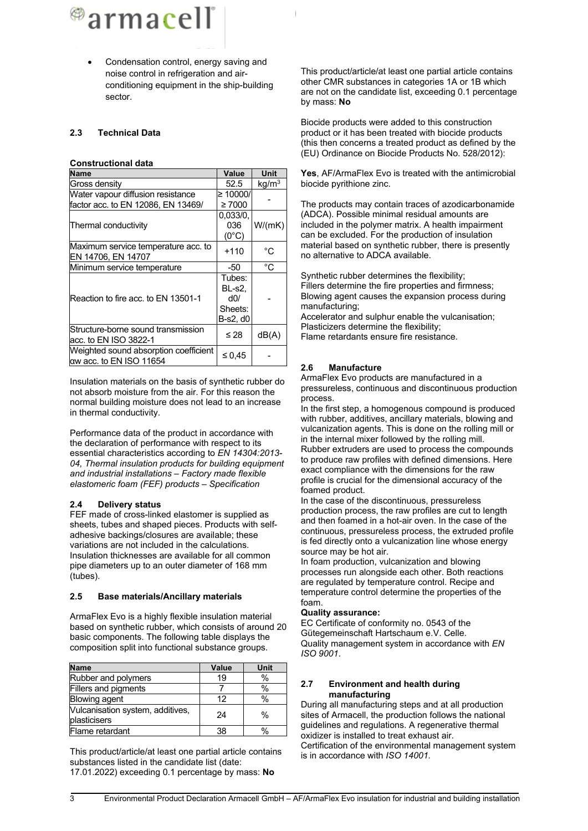<sup>@</sup>armacell

 Condensation control, energy saving and noise control in refrigeration and airconditioning equipment in the ship-building sector.

#### **2.3 Technical Data**

#### **Constructional data**

| <b>Name</b>                                                      | Value                                                 | Unit              |
|------------------------------------------------------------------|-------------------------------------------------------|-------------------|
| Gross density                                                    | 52.5                                                  | kg/m <sup>3</sup> |
| Water vapour diffusion resistance                                | $\geq 10000/$                                         |                   |
| factor acc. to EN 12086, EN 13469/                               | $\geq 7000$                                           |                   |
|                                                                  | 0.033/0.                                              |                   |
| Thermal conductivity                                             | 036                                                   | W/(mK)            |
|                                                                  | $(0^{\circ}C)$                                        |                   |
| Maximum service temperature acc. to<br>EN 14706, EN 14707        | $+110$                                                | °C                |
| Minimum service temperature                                      | -50                                                   | °C                |
| Reaction to fire acc. to EN 13501-1                              | Tubes:<br><b>BL-s2.</b><br>d0/<br>Sheets:<br>B-s2, d0 |                   |
| Structure-borne sound transmission<br>acc. to EN ISO 3822-1      | ≤ 28                                                  | dB(A)             |
| Weighted sound absorption coefficient<br>aw acc. to EN ISO 11654 | ≤ 0.45                                                |                   |

Insulation materials on the basis of synthetic rubber do not absorb moisture from the air. For this reason the normal building moisture does not lead to an increase in thermal conductivity.

Performance data of the product in accordance with the declaration of performance with respect to its essential characteristics according to *EN 14304:2013- 04, Thermal insulation products for building equipment and industrial installations – Factory made flexible elastomeric foam (FEF) products – Specification*

#### **2.4 Delivery status**

FEF made of cross-linked elastomer is supplied as sheets, tubes and shaped pieces. Products with selfadhesive backings/closures are available; these variations are not included in the calculations. Insulation thicknesses are available for all common pipe diameters up to an outer diameter of 168 mm (tubes).

#### **2.5 Base materials/Ancillary materials**

ArmaFlex Evo is a highly flexible insulation material based on synthetic rubber, which consists of around 20 basic components. The following table displays the composition split into functional substance groups.

| <b>Name</b>                                      | Value | Unit          |
|--------------------------------------------------|-------|---------------|
| Rubber and polymers                              | 19    | %             |
| Fillers and pigments                             |       | %             |
| <b>Blowing agent</b>                             | 12    | $\frac{0}{0}$ |
| Vulcanisation system, additives,<br>plasticisers | 24    | $\%$          |
| Flame retardant                                  | 38    | $\frac{0}{0}$ |

This product/article/at least one partial article contains substances listed in the candidate list (date: 17.01.2022) exceeding 0.1 percentage by mass: **No**

This product/article/at least one partial article contains other CMR substances in categories 1A or 1B which are not on the candidate list, exceeding 0.1 percentage by mass: **No**

Biocide products were added to this construction product or it has been treated with biocide products (this then concerns a treated product as defined by the (EU) Ordinance on Biocide Products No. 528/2012):

**Yes**, AF/ArmaFlex Evo is treated with the antimicrobial biocide pyrithione zinc.

The products may contain traces of azodicarbonamide (ADCA). Possible minimal residual amounts are included in the polymer matrix. A health impairment can be excluded. For the production of insulation material based on synthetic rubber, there is presently no alternative to ADCA available.

Synthetic rubber determines the flexibility; Fillers determine the fire properties and firmness; Blowing agent causes the expansion process during manufacturing;

Accelerator and sulphur enable the vulcanisation; Plasticizers determine the flexibility; Flame retardants ensure fire resistance.

#### **2.6 Manufacture**

ArmaFlex Evo products are manufactured in a pressureless, continuous and discontinuous production process.

In the first step, a homogenous compound is produced with rubber, additives, ancillary materials, blowing and vulcanization agents. This is done on the rolling mill or in the internal mixer followed by the rolling mill. Rubber extruders are used to process the compounds to produce raw profiles with defined dimensions. Here exact compliance with the dimensions for the raw profile is crucial for the dimensional accuracy of the foamed product.

In the case of the discontinuous, pressureless production process, the raw profiles are cut to length and then foamed in a hot-air oven. In the case of the continuous, pressureless process, the extruded profile is fed directly onto a vulcanization line whose energy source may be hot air.

In foam production, vulcanization and blowing processes run alongside each other. Both reactions are regulated by temperature control. Recipe and temperature control determine the properties of the foam.

#### **Quality assurance:**

EC Certificate of conformity no. 0543 of the Gütegemeinschaft Hartschaum e.V. Celle. Quality management system in accordance with *EN ISO 9001*.

#### **2.7 Environment and health during manufacturing**

During all manufacturing steps and at all production sites of Armacell, the production follows the national guidelines and regulations. A regenerative thermal oxidizer is installed to treat exhaust air. Certification of the environmental management system is in accordance with *ISO 14001.*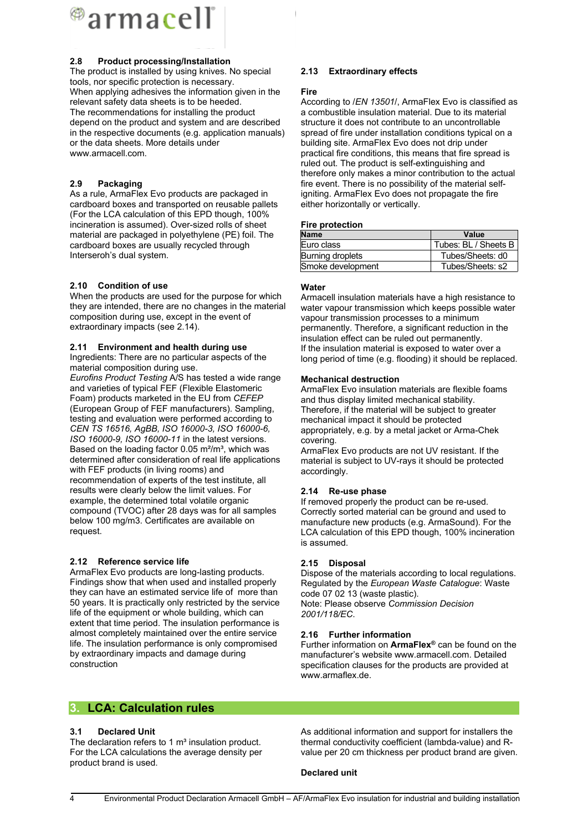

#### **2.8 Product processing/Installation**

The product is installed by using knives. No special tools, nor specific protection is necessary. When applying adhesives the information given in the relevant safety data sheets is to be heeded. The recommendations for installing the product depend on the product and system and are described in the respective documents (e.g. application manuals) or the data sheets. More details under www.armacell.com.

#### **2.9 Packaging**

As a rule, ArmaFlex Evo products are packaged in cardboard boxes and transported on reusable pallets (For the LCA calculation of this EPD though, 100% incineration is assumed). Over-sized rolls of sheet material are packaged in polyethylene (PE) foil. The cardboard boxes are usually recycled through Interseroh's dual system.

#### **2.10 Condition of use**

When the products are used for the purpose for which they are intended, there are no changes in the material composition during use, except in the event of extraordinary impacts (see 2.14).

#### **2.11 Environment and health during use**

Ingredients: There are no particular aspects of the material composition during use.

*Eurofins Product Testing* A/S has tested a wide range and varieties of typical FEF (Flexible Elastomeric Foam) products marketed in the EU from *CEFEP* (European Group of FEF manufacturers). Sampling, testing and evaluation were performed according to *CEN TS 16516, AgBB, ISO 16000-3, ISO 16000-6, ISO 16000-9, ISO 16000-11* in the latest versions. Based on the loading factor  $0.05$  m $2/m^3$ , which was determined after consideration of real life applications with FEF products (in living rooms) and recommendation of experts of the test institute, all results were clearly below the limit values. For example, the determined total volatile organic compound (TVOC) after 28 days was for all samples below 100 mg/m3. Certificates are available on request.

#### **2.12 Reference service life**

ArmaFlex Evo products are long-lasting products. Findings show that when used and installed properly they can have an estimated service life of more than 50 years. It is practically only restricted by the service life of the equipment or whole building, which can extent that time period. The insulation performance is almost completely maintained over the entire service life. The insulation performance is only compromised by extraordinary impacts and damage during construction

#### **2.13 Extraordinary effects**

#### **Fire**

According to /*EN 13501*/, ArmaFlex Evo is classified as a combustible insulation material. Due to its material structure it does not contribute to an uncontrollable spread of fire under installation conditions typical on a building site. ArmaFlex Evo does not drip under practical fire conditions, this means that fire spread is ruled out. The product is self-extinguishing and therefore only makes a minor contribution to the actual fire event. There is no possibility of the material selfigniting. ArmaFlex Evo does not propagate the fire either horizontally or vertically.

#### **Fire protection**

| <b>Name</b>       | Value                |
|-------------------|----------------------|
| Euro class        | Tubes: BL / Sheets B |
| Burning droplets  | Tubes/Sheets: d0     |
| Smoke development | Tubes/Sheets: s2     |

#### **Water**

Armacell insulation materials have a high resistance to water vapour transmission which keeps possible water vapour transmission processes to a minimum permanently. Therefore, a significant reduction in the insulation effect can be ruled out permanently. If the insulation material is exposed to water over a long period of time (e.g. flooding) it should be replaced.

#### **Mechanical destruction**

ArmaFlex Evo insulation materials are flexible foams and thus display limited mechanical stability. Therefore, if the material will be subject to greater mechanical impact it should be protected appropriately, e.g. by a metal jacket or Arma-Chek covering.

ArmaFlex Evo products are not UV resistant. If the material is subject to UV-rays it should be protected accordingly.

#### **2.14 Re-use phase**

If removed properly the product can be re-used. Correctly sorted material can be ground and used to manufacture new products (e.g. ArmaSound). For the LCA calculation of this EPD though, 100% incineration is assumed.

#### **2.15 Disposal**

Dispose of the materials according to local regulations. Regulated by the *European Waste Catalogue*: Waste code 07 02 13 (waste plastic). Note: Please observe *Commission Decision 2001/118/EC*.

#### **2.16 Further information**

Further information on **ArmaFlex®** can be found on the manufacturer's website www.armacell.com. Detailed specification clauses for the products are provided at www.armaflex.de.

## **3. LCA: Calculation rules**

#### **3.1 Declared Unit**

The declaration refers to 1 $m<sup>3</sup>$  insulation product. For the LCA calculations the average density per product brand is used.

As additional information and support for installers the thermal conductivity coefficient (lambda-value) and Rvalue per 20 cm thickness per product brand are given.

#### **Declared unit**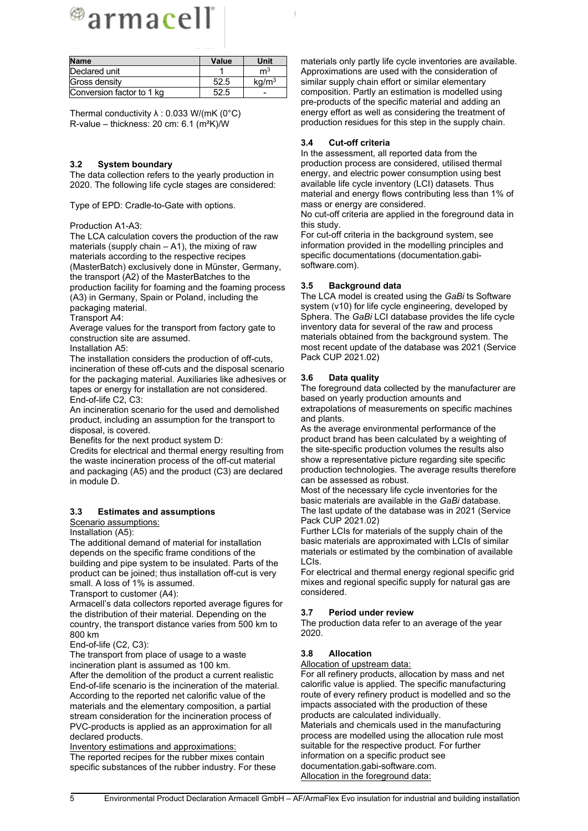# ®armacell®

| <b>Name</b>               | Value | Unit              |
|---------------------------|-------|-------------------|
| Declared unit             |       | m <sup>3</sup>    |
| Gross density             | 52.5  | kq/m <sup>3</sup> |
| Conversion factor to 1 kg | 52.5  |                   |

Thermal conductivity  $\lambda$  : 0.033 W/(mK (0°C) R-value – thickness: 20 cm: 6.1 (m²K)/W

#### **3.2 System boundary**

The data collection refers to the yearly production in 2020. The following life cycle stages are considered:

Type of EPD: Cradle-to-Gate with options.

#### Production A1-A3:

The LCA calculation covers the production of the raw materials (supply chain  $-$  A1), the mixing of raw materials according to the respective recipes (MasterBatch) exclusively done in Münster, Germany, the transport (A2) of the MasterBatches to the production facility for foaming and the foaming process (A3) in Germany, Spain or Poland, including the packaging material.

Transport A4:

Average values for the transport from factory gate to construction site are assumed.

Installation A5:

The installation considers the production of off-cuts, incineration of these off-cuts and the disposal scenario for the packaging material. Auxiliaries like adhesives or tapes or energy for installation are not considered. End-of-life C2, C3:

An incineration scenario for the used and demolished product, including an assumption for the transport to disposal, is covered.

Benefits for the next product system D:

Credits for electrical and thermal energy resulting from the waste incineration process of the off-cut material and packaging (A5) and the product (C3) are declared in module D.

#### **3.3 Estimates and assumptions**

Scenario assumptions:

Installation (A5):

The additional demand of material for installation depends on the specific frame conditions of the building and pipe system to be insulated. Parts of the product can be joined; thus installation off-cut is very small. A loss of 1% is assumed.

Transport to customer (A4):

Armacell's data collectors reported average figures for the distribution of their material. Depending on the country, the transport distance varies from 500 km to 800 km

End-of-life (C2, C3):

The transport from place of usage to a waste incineration plant is assumed as 100 km.

After the demolition of the product a current realistic End-of-life scenario is the incineration of the material. According to the reported net calorific value of the materials and the elementary composition, a partial stream consideration for the incineration process of PVC-products is applied as an approximation for all declared products.

Inventory estimations and approximations: The reported recipes for the rubber mixes contain specific substances of the rubber industry. For these

materials only partly life cycle inventories are available. Approximations are used with the consideration of similar supply chain effort or similar elementary composition. Partly an estimation is modelled using pre-products of the specific material and adding an energy effort as well as considering the treatment of production residues for this step in the supply chain.

#### **3.4 Cut-off criteria**

In the assessment, all reported data from the production process are considered, utilised thermal energy, and electric power consumption using best available life cycle inventory (LCI) datasets. Thus material and energy flows contributing less than 1% of mass or energy are considered.

No cut-off criteria are applied in the foreground data in this study.

For cut-off criteria in the background system, see information provided in the modelling principles and specific documentations (documentation.gabisoftware.com).

#### **3.5 Background data**

The LCA model is created using the *GaBi* ts Software system (v10) for life cycle engineering, developed by Sphera. The *GaBi* LCI database provides the life cycle inventory data for several of the raw and process materials obtained from the background system. The most recent update of the database was 2021 (Service Pack CUP 2021.02)

#### **3.6 Data quality**

The foreground data collected by the manufacturer are based on yearly production amounts and extrapolations of measurements on specific machines and plants.

As the average environmental performance of the product brand has been calculated by a weighting of the site-specific production volumes the results also show a representative picture regarding site specific production technologies. The average results therefore can be assessed as robust.

Most of the necessary life cycle inventories for the basic materials are available in the *GaBi* database. The last update of the database was in 2021 (Service Pack CUP 2021.02)

Further LCIs for materials of the supply chain of the basic materials are approximated with LCIs of similar materials or estimated by the combination of available LCIs.

For electrical and thermal energy regional specific grid mixes and regional specific supply for natural gas are considered.

#### **3.7 Period under review**

The production data refer to an average of the year 2020.

#### **3.8 Allocation**

#### Allocation of upstream data:

For all refinery products, allocation by mass and net calorific value is applied. The specific manufacturing route of every refinery product is modelled and so the impacts associated with the production of these products are calculated individually. Materials and chemicals used in the manufacturing process are modelled using the allocation rule most

suitable for the respective product. For further information on a specific product see documentation.gabi-software.com.

Allocation in the foreground data: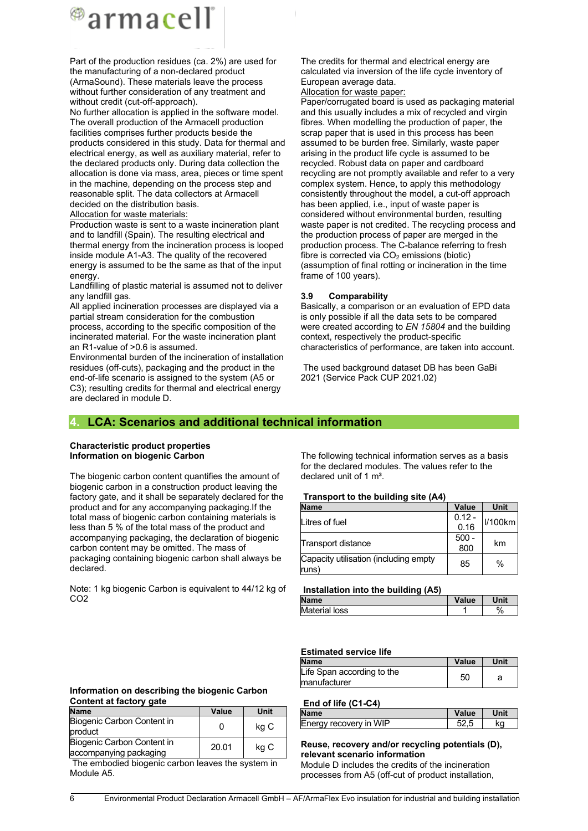

Part of the production residues (ca. 2%) are used for the manufacturing of a non-declared product (ArmaSound). These materials leave the process without further consideration of any treatment and without credit (cut-off-approach).

No further allocation is applied in the software model. The overall production of the Armacell production facilities comprises further products beside the products considered in this study. Data for thermal and electrical energy, as well as auxiliary material, refer to the declared products only. During data collection the allocation is done via mass, area, pieces or time spent in the machine, depending on the process step and reasonable split. The data collectors at Armacell decided on the distribution basis.

Allocation for waste materials:

Production waste is sent to a waste incineration plant and to landfill (Spain). The resulting electrical and thermal energy from the incineration process is looped inside module A1-A3. The quality of the recovered energy is assumed to be the same as that of the input energy.

Landfilling of plastic material is assumed not to deliver any landfill gas.

All applied incineration processes are displayed via a partial stream consideration for the combustion process, according to the specific composition of the incinerated material. For the waste incineration plant an R1-value of >0.6 is assumed.

Environmental burden of the incineration of installation residues (off-cuts), packaging and the product in the end-of-life scenario is assigned to the system (A5 or C3); resulting credits for thermal and electrical energy are declared in module D.

The credits for thermal and electrical energy are calculated via inversion of the life cycle inventory of European average data. Allocation for waste paper:

Paper/corrugated board is used as packaging material and this usually includes a mix of recycled and virgin fibres. When modelling the production of paper, the scrap paper that is used in this process has been assumed to be burden free. Similarly, waste paper arising in the product life cycle is assumed to be recycled. Robust data on paper and cardboard recycling are not promptly available and refer to a very complex system. Hence, to apply this methodology consistently throughout the model, a cut-off approach has been applied, i.e., input of waste paper is considered without environmental burden, resulting waste paper is not credited. The recycling process and the production process of paper are merged in the production process. The C-balance referring to fresh fibre is corrected via  $CO<sub>2</sub>$  emissions (biotic) (assumption of final rotting or incineration in the time frame of 100 years).

#### **3.9 Comparability**

Basically, a comparison or an evaluation of EPD data is only possible if all the data sets to be compared were created according to *EN 15804* and the building context, respectively the product-specific characteristics of performance, are taken into account.

The used background dataset DB has been GaBi 2021 (Service Pack CUP 2021.02)

### **4. LCA: Scenarios and additional technical information**

#### **Characteristic product properties Information on biogenic Carbon**

The biogenic carbon content quantifies the amount of biogenic carbon in a construction product leaving the factory gate, and it shall be separately declared for the product and for any accompanying packaging.If the total mass of biogenic carbon containing materials is less than 5 % of the total mass of the product and accompanying packaging, the declaration of biogenic carbon content may be omitted. The mass of packaging containing biogenic carbon shall always be declared.

Note: 1 kg biogenic Carbon is equivalent to 44/12 kg of CO<sub>2</sub>

The following technical information serves as a basis for the declared modules. The values refer to the declared unit of 1 m<sup>3</sup>.

#### **Transport to the building site (A4)**

| <b>Name</b>                                    | Value          | Unit          |
|------------------------------------------------|----------------|---------------|
| Litres of fuel                                 | $0.12 -$       | V100km        |
|                                                | 0.16           |               |
| Transport distance                             | $500 -$<br>800 | km            |
| Capacity utilisation (including empty<br>runs) | 85             | $\frac{0}{0}$ |

| Installation into the building (A5) |       |      |
|-------------------------------------|-------|------|
| <b>Name</b>                         | Value | Unit |
| Material loss                       |       | $\%$ |

#### **Estimated service life**

| <b>Name</b>                | <b>Value</b> | Unit |
|----------------------------|--------------|------|
| Life Span according to the | 50           | а    |
| manufacturer               |              |      |

#### **End of life (C1-C4)**

| <b>Name</b>            | Value | Unit |
|------------------------|-------|------|
| Energy recovery in WIP |       | ΚO   |

## **Reuse, recovery and/or recycling potentials (D), relevant scenario information**

Module D includes the credits of the incineration processes from A5 (off-cut of product installation,

#### **Information on describing the biogenic Carbon Content at factory gate**

| <b>Name</b>                                          | Value | Unit |
|------------------------------------------------------|-------|------|
| Biogenic Carbon Content in<br>product                |       | kg C |
| Biogenic Carbon Content in<br>accompanying packaging | 20.01 | kg C |

The embodied biogenic carbon leaves the system in Module A5.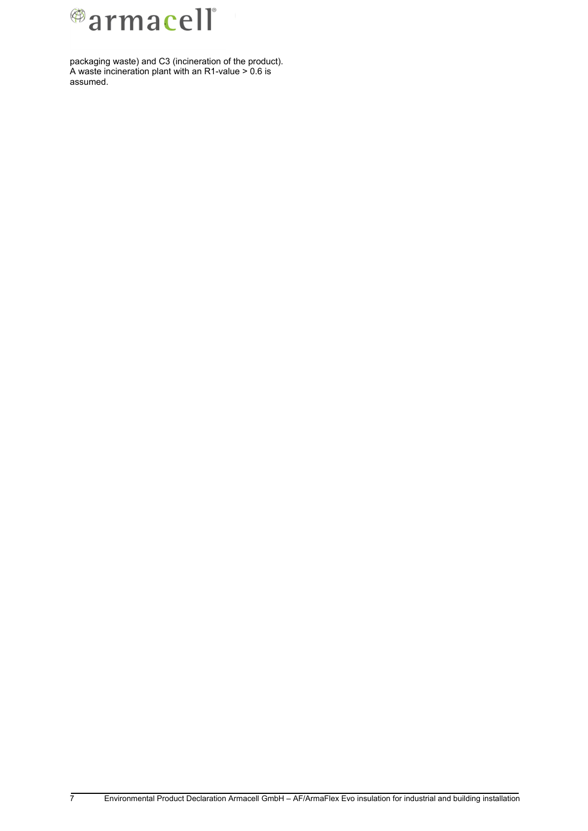

packaging waste) and C3 (incineration of the product). A waste incineration plant with an R1-value > 0.6 is assumed.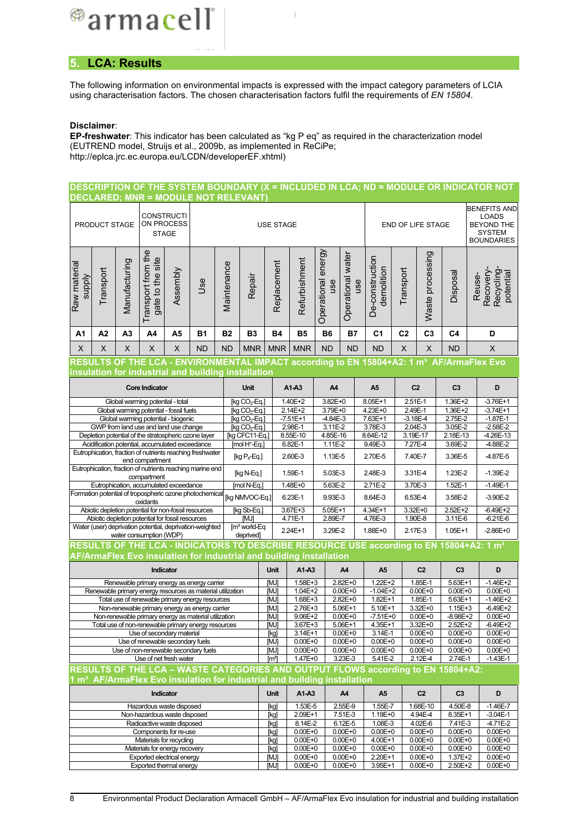

## **5. LCA: Results**

The following information on environmental impacts is expressed with the impact category parameters of LCIA using characterisation factors. The chosen characterisation factors fulfil the requirements of *EN 15804*.

#### **Disclaimer**:

**EP-freshwater**: This indicator has been calculated as "kg P eq" as required in the characterization model (EUTREND model, Struijs et al., 2009b, as implemented in ReCiPe; http://eplca.jrc.ec.europa.eu/LCDN/developerEF.xhtml)

#### **DESCRIPTION OF THE SYSTEM BOUNDARY (X = INCLUDED IN LCA; ND = MODULE OR INDICATOR NOT DECLARED; MNR = MODULE NOT RELEVANT)**

|                                                       | PRODUCT STAGE |                | <b>CONSTRUCTI</b><br>ON PROCESS<br><b>STAGE</b>                                                         |          |                                                                                                   | END OF LIFE STAGE<br><b>USE STAGE</b> |                                                        |                     |                            | <b>BENEFITS AND</b><br><b>LOADS</b><br><b>BEYOND THE</b><br><b>SYSTEM</b><br><b>BOUNDARIES</b> |                            |                                                                                  |                     |                            |                            |                                                                                                      |
|-------------------------------------------------------|---------------|----------------|---------------------------------------------------------------------------------------------------------|----------|---------------------------------------------------------------------------------------------------|---------------------------------------|--------------------------------------------------------|---------------------|----------------------------|------------------------------------------------------------------------------------------------|----------------------------|----------------------------------------------------------------------------------|---------------------|----------------------------|----------------------------|------------------------------------------------------------------------------------------------------|
| Raw material<br><b>supply</b>                         | Transport     | Manufacturing  | Transport from the<br>gate to the site                                                                  | Assembly | Use                                                                                               | Maintenance                           | Repair                                                 | Replacement         | Refurbishment              | Operational energy<br>use                                                                      | Operational water<br>use   | De-construction<br>demolition                                                    | Transport           | Waste processing           | Disposal                   | Recovery-<br>Recycling<br>potential<br>Reuse-                                                        |
| A1                                                    | A2            | A <sub>3</sub> | A4                                                                                                      | A5       | <b>B1</b>                                                                                         | <b>B2</b>                             | B <sub>3</sub>                                         | <b>B4</b>           | <b>B5</b>                  | <b>B6</b>                                                                                      | <b>B7</b>                  | C <sub>1</sub>                                                                   | C <sub>2</sub>      | C <sub>3</sub>             | C <sub>4</sub>             | D                                                                                                    |
| X                                                     | X             | X              | $\mathsf X$                                                                                             | X        | <b>ND</b>                                                                                         | <b>ND</b>                             | <b>MNR</b>                                             | <b>MNR</b>          | <b>MNR</b>                 | <b>ND</b>                                                                                      | <b>ND</b>                  | <b>ND</b>                                                                        | $\mathsf X$         | X                          | <b>ND</b>                  | X                                                                                                    |
|                                                       |               |                |                                                                                                         |          |                                                                                                   |                                       |                                                        |                     |                            |                                                                                                |                            |                                                                                  |                     |                            |                            | RESULTS OF THE LCA - ENVIRONMENTAL IMPACT according to EN 15804+A2: 1 m <sup>3</sup> AF/ArmaFlex Evo |
|                                                       |               |                |                                                                                                         |          | insulation for industrial and building installation                                               |                                       |                                                        |                     |                            |                                                                                                |                            |                                                                                  |                     |                            |                            |                                                                                                      |
|                                                       |               |                | <b>Core Indicator</b>                                                                                   |          |                                                                                                   |                                       | Unit                                                   |                     | A1-A3                      | A4                                                                                             |                            | A <sub>5</sub>                                                                   | C <sub>2</sub>      |                            | C <sub>3</sub>             | D                                                                                                    |
|                                                       |               |                | Global warming potential - total<br>Global warming potential - fossil fuels                             |          |                                                                                                   |                                       | [kg CO <sub>2</sub> -Eq.]<br>[kg CO <sub>2</sub> -Eq.] |                     | 1.40E+2<br>2.14E+2         | 3.82E+0<br>3.79E+0                                                                             |                            | 8.05E+1<br>$4.23E+0$                                                             | 2.51E-1<br>2.49E-1  |                            | 1.36E+2<br>$1.36E+2$       | $-3.76E+1$<br>$-3.74E+1$                                                                             |
|                                                       |               |                | Global warming potential - biogenic                                                                     |          |                                                                                                   |                                       | $[kq CO2-Eq.]$                                         |                     | $-7.51E+1$                 | $-4.84E - 3$                                                                                   |                            | 7.63E+1                                                                          | $-3.18E - 4$        |                            | 2.75E-2                    | $-1.87E-1$                                                                                           |
|                                                       |               |                | GWP from land use and land use change                                                                   |          |                                                                                                   |                                       | [kg $CO2$ -Eq.]                                        |                     | 2.98E-1                    | 3.11E-2                                                                                        |                            | 3.78E-3                                                                          | 2.04E-3             |                            | 3.05E-2                    | $-2.58E - 2$                                                                                         |
|                                                       |               |                | Depletion potential of the stratospheric ozone layer<br>Acidification potential, accumulated exceedance |          |                                                                                                   |                                       | [kg CFC11-Eq.]                                         |                     | 8.55E-10<br>6.82E-1        | 4.85E-16<br>1.11E-2                                                                            |                            | 8.64E-12<br>9.49E-3                                                              | 3.19E-17<br>7.27E-4 |                            | 2.18E-13<br>3.69E-2        | $-4.26E-13$<br>$-4.88E - 2$                                                                          |
|                                                       |               |                |                                                                                                         |          | Eutrophication, fraction of nutrients reaching freshwater                                         |                                       | $[$ mol H $+$ Eq.]                                     |                     |                            |                                                                                                |                            |                                                                                  |                     |                            |                            |                                                                                                      |
|                                                       |               |                | end compartment                                                                                         |          |                                                                                                   |                                       | $[kg P_4-Eq.]$                                         |                     | 2.60E-3                    | 1.13E-5                                                                                        |                            | 2.70E-5                                                                          | 7.40E-7             |                            | 3.36E-5                    | $-4.87E-5$                                                                                           |
|                                                       |               |                | compartment                                                                                             |          | Eutrophication, fraction of nutrients reaching marine end                                         |                                       | [kg N-Eq.]                                             |                     | 1.59E-1                    | 5.03E-3                                                                                        |                            | 2.48E-3                                                                          | 3.31E-4             |                            | 1.23E-2                    | $-1.39E-2$                                                                                           |
|                                                       |               |                | Eutrophication, accumulated exceedance                                                                  |          |                                                                                                   |                                       | [mol N-Eq.]                                            |                     | $1.48E + 0$                | 5.63E-2                                                                                        |                            | $2.71E-2$                                                                        | 3.70E-3             |                            | $1.52E - 1$                | $-1.49E-1$                                                                                           |
|                                                       |               |                | oxidants                                                                                                |          | Formation potential of tropospheric ozone photochemical                                           |                                       | [kg NMVOC-Eq.]                                         |                     | 6.23E-1                    | 9.93E-3                                                                                        |                            | 8.64E-3                                                                          | 6.53E-4             |                            | 3.58E-2                    | $-3.90E - 2$                                                                                         |
|                                                       |               |                | Abiotic depletion potential for non-fossil resources                                                    |          |                                                                                                   |                                       | [kg Sb-Eq.]                                            |                     | 3.67E+3                    | $5.05E+1$                                                                                      |                            | 4.34E+1                                                                          | 3.32E+0             |                            | 2.52E+2                    | $-6.49E+2$                                                                                           |
|                                                       |               |                | Abiotic depletion potential for fossil resources                                                        |          |                                                                                                   |                                       | [MJ]                                                   | 4.71E-1             |                            | 2.89E-7                                                                                        |                            | 4.76E-3                                                                          | 1.90E-8             |                            | 3.11E-6                    | $-6.21E - 6$                                                                                         |
|                                                       |               |                | water consumption (WDP)                                                                                 |          | Water (user) deprivation potential, deprivation-weighted                                          |                                       | $[m3$ world-Eq<br>deprived]                            |                     | 2.24E+1                    | 3.29E-2                                                                                        |                            | 1.88E+0                                                                          | 2.17E-3             |                            | $1.05E + 1$                | $-2.86E + 0$                                                                                         |
|                                                       |               |                |                                                                                                         |          |                                                                                                   |                                       |                                                        |                     |                            |                                                                                                |                            |                                                                                  |                     |                            |                            | RESULTS OF THE LCA - INDICATORS TO DESCRIBE RESOURCE USE according to EN 15804+A2: 1 m <sup>3</sup>  |
|                                                       |               |                |                                                                                                         |          | AF/ArmaFlex Evo insulation for industrial and building installation                               |                                       |                                                        |                     |                            |                                                                                                |                            |                                                                                  |                     |                            |                            |                                                                                                      |
|                                                       |               |                | Indicator                                                                                               |          |                                                                                                   |                                       |                                                        | Unit                | A1-A3                      |                                                                                                | A4                         | A <sub>5</sub>                                                                   |                     | C <sub>2</sub>             | C <sub>3</sub>             | D                                                                                                    |
|                                                       |               |                |                                                                                                         |          | Renewable primary energy as energy carrier                                                        |                                       |                                                        | [MJ]                | $1.58E + 3$                |                                                                                                | 2.82E+0                    | $1.22E + 2$                                                                      |                     | 1.85E-1                    | $5.63E+1$                  | $-1.46E+2$                                                                                           |
|                                                       |               |                |                                                                                                         |          | Renewable primary energy resources as material utilization                                        |                                       |                                                        | [MJ]                | 1.04E+2                    |                                                                                                | $0.00E + 0$                | $-1.04E+2$                                                                       |                     | $0.00E + 0$                | $0.00E + 0$                | $0.00E + 0$                                                                                          |
|                                                       |               |                |                                                                                                         |          | Total use of renewable primary energy resources<br>Non-renewable primary energy as energy carrier |                                       |                                                        | [MJ]<br>[MJ]        | 1.68E+3<br>2.76E+3         |                                                                                                | $2.82E + 0$<br>5.06E+1     | $1.82E+1$<br>$5.10E+1$                                                           |                     | $1.85E-1$<br>3.32E+0       | $5.63E+1$<br>$1.15E + 3$   | $-1.46E+2$<br>$-6.49E+2$                                                                             |
|                                                       |               |                |                                                                                                         |          | Non-renewable primary energy as material utilization                                              |                                       |                                                        | <b>MJ</b>           | 9.06E+2                    |                                                                                                | $0.00E + 0$                | $-7.51E+0$                                                                       |                     | $0.00E + 0$                | $-8.98E+2$                 | $0.00E + 0$                                                                                          |
|                                                       |               |                |                                                                                                         |          | Total use of non-renewable primary energy resources                                               |                                       |                                                        | [MJ]                | 3.67E+3                    |                                                                                                | 5.06E+1                    | 4.35E+1                                                                          |                     | 3.32E+0                    | 2.52E+2                    | $-6.49E+2$                                                                                           |
|                                                       |               |                | Use of secondary material<br>Use of renewable secondary fuels                                           |          |                                                                                                   |                                       |                                                        | [kg]<br><b>IMJI</b> | 3.14E+1<br>$0.00E + 0$     |                                                                                                | $0.00E + 0$<br>$0.00E + 0$ | 3.14E-1<br>$0.00E + 0$                                                           |                     | $0.00E + 0$<br>$0.00E + 0$ | $0.00E + 0$<br>$0.00E + 0$ | $0.00E + 0$<br>$0.00E + 0$                                                                           |
|                                                       |               |                |                                                                                                         |          | Use of non-renewable secondary fuels                                                              |                                       |                                                        | [MJ]                | $0.00E + 0$                |                                                                                                | $0.00E + 0$                | $0.00E + 0$                                                                      |                     | $0.00E + 0$                | $0.00E + 0$                | $0.00E + 0$                                                                                          |
|                                                       |               |                | Use of net fresh water                                                                                  |          |                                                                                                   |                                       |                                                        | [mª]                | 1.47E+0                    |                                                                                                | 3.23E-3                    | 5.41E-2                                                                          |                     | 2.12E-4                    | 2.74E-1                    | $-1.43E-1$                                                                                           |
|                                                       |               |                |                                                                                                         |          |                                                                                                   |                                       |                                                        |                     |                            |                                                                                                |                            | RESULTS OF THE LCA - WASTE CATEGORIES AND OUTPUT FLOWS according to EN 15804+A2: |                     |                            |                            |                                                                                                      |
|                                                       |               |                |                                                                                                         |          | 1 m <sup>3</sup> AF/ArmaFlex Evo insulation for industrial and building installation              |                                       |                                                        |                     |                            |                                                                                                |                            |                                                                                  |                     |                            |                            |                                                                                                      |
|                                                       |               |                | Indicator                                                                                               |          |                                                                                                   |                                       |                                                        | Unit                | A1-A3                      |                                                                                                | A4                         | A <sub>5</sub>                                                                   |                     | C <sub>2</sub>             | C <sub>3</sub>             | D                                                                                                    |
|                                                       |               |                | Hazardous waste disposed<br>Non-hazardous waste disposed                                                |          |                                                                                                   |                                       |                                                        | [kg]                | 1.53E-5<br>2.09E+1         |                                                                                                | 2.55E-9<br>7.51E-3         | 1.55E-7<br>1.19E+0                                                               |                     | 1.68E-10<br>4.94E-4        | 4.50E-8<br>8.35E+1         | $-1.46E - 7$<br>$-3.04E-1$                                                                           |
|                                                       |               |                | Radioactive waste disposed                                                                              |          |                                                                                                   |                                       |                                                        | [kg]<br>[kg]        | 8.14E-2                    |                                                                                                | 6.12E-5                    | 1.08E-3                                                                          |                     | 4.02E-6                    | 7.41E-3                    | $-4.71E-2$                                                                                           |
|                                                       |               |                | Components for re-use                                                                                   |          |                                                                                                   |                                       |                                                        | [kg]                | $0.00E + 0$                |                                                                                                | $0.00E + 0$                | $0.00E + 0$                                                                      |                     | $0.00E + 0$                | $0.00E + 0$                | $0.00E + 0$                                                                                          |
|                                                       |               |                | Materials for recycling<br>Materials for energy recovery                                                |          |                                                                                                   |                                       |                                                        | [kg]                | $0.00E + 0$<br>$0.00E + 0$ |                                                                                                | $0.00E + 0$<br>$0.00E + 0$ | 4.00E+1<br>$0.00E + 0$                                                           |                     | $0.00E + 0$<br>$0.00E + 0$ | $0.00E + 0$<br>$0.00E + 0$ | $0.00E + 0$<br>$0.00E + 0$                                                                           |
|                                                       |               |                |                                                                                                         |          |                                                                                                   |                                       |                                                        | [kg]<br>[MJ]        | $0.00E + 0$                |                                                                                                | $0.00E + 0$                | 2.20E+1                                                                          |                     | $0.00E + 0$                | 1.37E+2                    | $0.00E + 0$                                                                                          |
| Exported electrical energy<br>Exported thermal energy |               |                |                                                                                                         |          |                                                                                                   |                                       |                                                        | [MJ]                | $0.00E + 0$                |                                                                                                | $0.00E + 0$                | 3.95E+1                                                                          |                     | $0.00E + 0$                | 2.50E+2                    | $0.00E + 0$                                                                                          |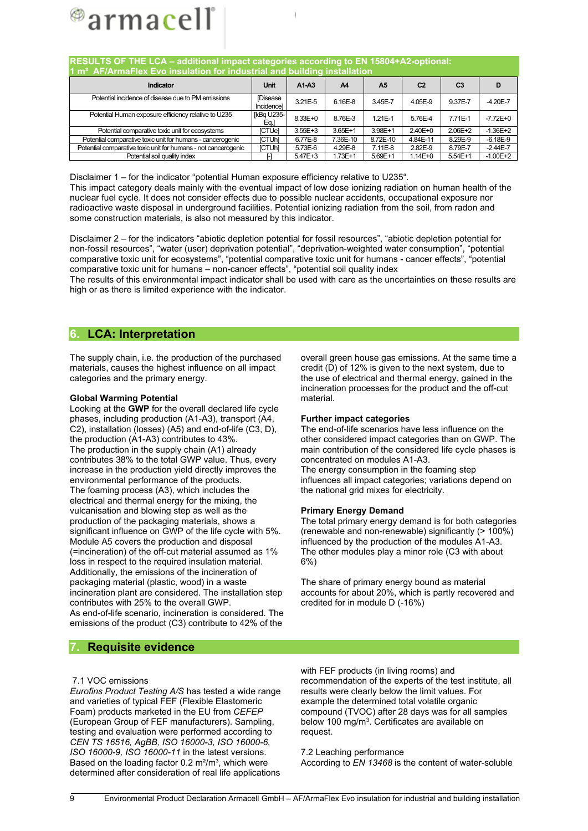

| RESULTS OF THE LCA - additional impact categories according to EN 15804+A2-optional:<br>1 m <sup>3</sup> AF/ArmaFlex Evo insulation for industrial and building installation |                              |             |          |           |             |           |              |  |  |  |  |
|------------------------------------------------------------------------------------------------------------------------------------------------------------------------------|------------------------------|-------------|----------|-----------|-------------|-----------|--------------|--|--|--|--|
| Unit<br>C <sub>2</sub><br>$A1-A3$<br>C <sub>3</sub><br>Indicator<br>A4<br>A <sub>5</sub><br>D                                                                                |                              |             |          |           |             |           |              |  |  |  |  |
| Potential incidence of disease due to PM emissions                                                                                                                           | <b>Disease</b><br>Incidencel | 3.21E-5     | 6.16E-8  | 3.45E-7   | 4.05E-9     | 9.37E-7   | $-4.20E - 7$ |  |  |  |  |
| Potential Human exposure efficiency relative to U235                                                                                                                         | [kBq U235-<br>Eq.]           | 8.33E+0     | 8.76E-3  | 1.21E-1   | 5.76E-4     | 7.71E-1   | $-7.72E + 0$ |  |  |  |  |
| Potential comparative toxic unit for ecosystems                                                                                                                              | <b>ICTUel</b>                | $3.55E + 3$ | 3.65E+1  | 3.98E+1   | 2.40E+0     | 2.06E+2   | $-1.36E+2$   |  |  |  |  |
| Potential comparative toxic unit for humans - cancerogenic                                                                                                                   | <b>ICTUhl</b>                | 6.77E-8     | 7.36E-10 | 8.72E-10  | 4.84E-11    | 8.29E-9   | $-6.18E-9$   |  |  |  |  |
| Potential comparative toxic unit for humans - not cancerogenic                                                                                                               | <b>ICTUhl</b>                | 5.73E-6     | 4.29E-8  | 7.11E-8   | 2.82E-9     | 8.79E-7   | $-2.44E - 7$ |  |  |  |  |
| Potential soil quality index                                                                                                                                                 |                              | 5.47E+3     | 1.73E+1  | $5.69E+1$ | $1.14E + 0$ | $5.54E+1$ | $-1.00E + 2$ |  |  |  |  |

Disclaimer 1 – for the indicator "potential Human exposure efficiency relative to U235". This impact category deals mainly with the eventual impact of low dose ionizing radiation on human health of the nuclear fuel cycle. It does not consider effects due to possible nuclear accidents, occupational exposure nor radioactive waste disposal in underground facilities. Potential ionizing radiation from the soil, from radon and some construction materials, is also not measured by this indicator.

Disclaimer 2 – for the indicators "abiotic depletion potential for fossil resources", "abiotic depletion potential for non-fossil resources", "water (user) deprivation potential", "deprivation-weighted water consumption", "potential comparative toxic unit for ecosystems", "potential comparative toxic unit for humans - cancer effects", "potential comparative toxic unit for humans – non-cancer effects", "potential soil quality index

The results of this environmental impact indicator shall be used with care as the uncertainties on these results are high or as there is limited experience with the indicator.

### **6. LCA: Interpretation**

The supply chain, i.e. the production of the purchased materials, causes the highest influence on all impact categories and the primary energy.

#### **Global Warming Potential**

Looking at the **GWP** for the overall declared life cycle phases, including production (A1-A3), transport (A4, C2), installation (losses) (A5) and end-of-life (C3, D), the production (A1-A3) contributes to 43%. The production in the supply chain (A1) already contributes 38% to the total GWP value. Thus, every increase in the production yield directly improves the environmental performance of the products. The foaming process (A3), which includes the electrical and thermal energy for the mixing, the vulcanisation and blowing step as well as the production of the packaging materials, shows a significant influence on GWP of the life cycle with 5%. Module A5 covers the production and disposal (=incineration) of the off-cut material assumed as 1% loss in respect to the required insulation material. Additionally, the emissions of the incineration of packaging material (plastic, wood) in a waste incineration plant are considered. The installation step contributes with 25% to the overall GWP. As end-of-life scenario, incineration is considered. The emissions of the product (C3) contribute to 42% of the

overall green house gas emissions. At the same time a credit (D) of 12% is given to the next system, due to the use of electrical and thermal energy, gained in the incineration processes for the product and the off-cut material.

#### **Further impact categories**

The end-of-life scenarios have less influence on the other considered impact categories than on GWP. The main contribution of the considered life cycle phases is concentrated on modules A1-A3. The energy consumption in the foaming step influences all impact categories; variations depend on the national grid mixes for electricity.

#### **Primary Energy Demand**

The total primary energy demand is for both categories (renewable and non-renewable) significantly (> 100%) influenced by the production of the modules A1-A3. The other modules play a minor role (C3 with about 6%)

The share of primary energy bound as material accounts for about 20%, which is partly recovered and credited for in module D (-16%)

### **7. Requisite evidence**

#### 7.1 VOC emissions

*Eurofins Product Testing A/S* has tested a wide range and varieties of typical FEF (Flexible Elastomeric Foam) products marketed in the EU from *CEFEP* (European Group of FEF manufacturers). Sampling, testing and evaluation were performed according to *CEN TS 16516, AgBB, ISO 16000-3, ISO 16000-6, ISO 16000-9, ISO 16000-11* in the latest versions. Based on the loading factor  $0.2 \text{ m}^2/\text{m}^3$ , which were determined after consideration of real life applications with FEF products (in living rooms) and recommendation of the experts of the test institute, all results were clearly below the limit values. For example the determined total volatile organic compound (TVOC) after 28 days was for all samples below 100 mg/m<sup>3</sup>. Certificates are available on request.

7.2 Leaching performance According to *EN 13468* is the content of water-soluble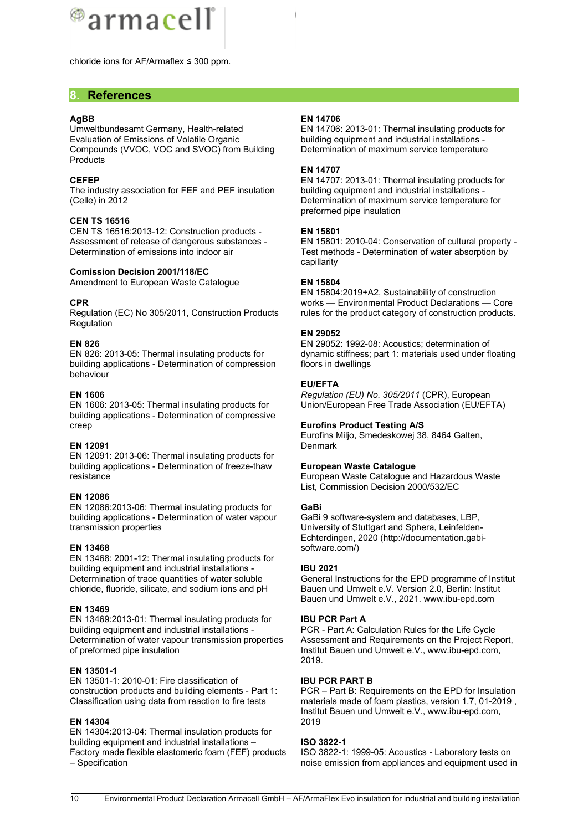

chloride ions for AF/Armaflex ≤ 300 ppm.

#### **8. References**

#### **AgBB**

Umweltbundesamt Germany, Health-related Evaluation of Emissions of Volatile Organic Compounds (VVOC, VOC and SVOC) from Building **Products** 

#### **CEFEP**

The industry association for FEF and PEF insulation (Celle) in 2012

#### **CEN TS 16516**

CEN TS 16516:2013-12: Construction products - Assessment of release of dangerous substances - Determination of emissions into indoor air

#### **Comission Decision 2001/118/EC**

Amendment to European Waste Catalogue

#### **CPR**

Regulation (EC) No 305/2011, Construction Products Regulation

#### **EN 826**

EN 826: 2013-05: Thermal insulating products for building applications - Determination of compression behaviour

#### **EN 1606**

EN 1606: 2013-05: Thermal insulating products for building applications - Determination of compressive creep

#### **EN 12091**

EN 12091: 2013-06: Thermal insulating products for building applications - Determination of freeze-thaw resistance

#### **EN 12086**

EN 12086:2013-06: Thermal insulating products for building applications - Determination of water vapour transmission properties

#### **EN 13468**

EN 13468: 2001-12: Thermal insulating products for building equipment and industrial installations - Determination of trace quantities of water soluble chloride, fluoride, silicate, and sodium ions and pH

#### **EN 13469**

EN 13469:2013-01: Thermal insulating products for building equipment and industrial installations - Determination of water vapour transmission properties of preformed pipe insulation

#### **EN 13501-1**

EN 13501-1: 2010-01: Fire classification of construction products and building elements - Part 1: Classification using data from reaction to fire tests

#### **EN 14304**

EN 14304:2013-04: Thermal insulation products for building equipment and industrial installations – Factory made flexible elastomeric foam (FEF) products – Specification

#### **EN 14706**

EN 14706: 2013-01: Thermal insulating products for building equipment and industrial installations - Determination of maximum service temperature

#### **EN 14707**

EN 14707: 2013-01: Thermal insulating products for building equipment and industrial installations - Determination of maximum service temperature for preformed pipe insulation

#### **EN 15801**

EN 15801: 2010-04: Conservation of cultural property - Test methods - Determination of water absorption by capillarity

#### **EN 15804**

EN 15804:2019+A2, Sustainability of construction works — Environmental Product Declarations — Core rules for the product category of construction products.

#### **EN 29052**

EN 29052: 1992-08: Acoustics; determination of dynamic stiffness; part 1: materials used under floating floors in dwellings

#### **EU/EFTA**

*Regulation (EU) No. 305/2011* (CPR), European Union/European Free Trade Association (EU/EFTA)

#### **Eurofins Product Testing A/S**

Eurofins Miljo, Smedeskowej 38, 8464 Galten, **Denmark** 

#### **European Waste Catalogue**

European Waste Catalogue and Hazardous Waste List, Commission Decision 2000/532/EC

#### **GaBi**

GaBi 9 software-system and databases, LBP, University of Stuttgart and Sphera, Leinfelden-Echterdingen, 2020 (http://documentation.gabisoftware.com/)

#### **IBU 2021**

General Instructions for the EPD programme of Institut Bauen und Umwelt e.V. Version 2.0, Berlin: Institut Bauen und Umwelt e.V., 2021. www.ibu-epd.com

#### **IBU PCR Part A**

PCR - Part A: Calculation Rules for the Life Cycle Assessment and Requirements on the Project Report, Institut Bauen und Umwelt e.V., www.ibu-epd.com, 2019.

#### **IBU PCR PART B**

PCR – Part B: Requirements on the EPD for Insulation materials made of foam plastics, version 1.7, 01-2019 , Institut Bauen und Umwelt e.V., www.ibu-epd.com, 2019

#### **ISO 3822-1**

ISO 3822-1: 1999-05: Acoustics - Laboratory tests on noise emission from appliances and equipment used in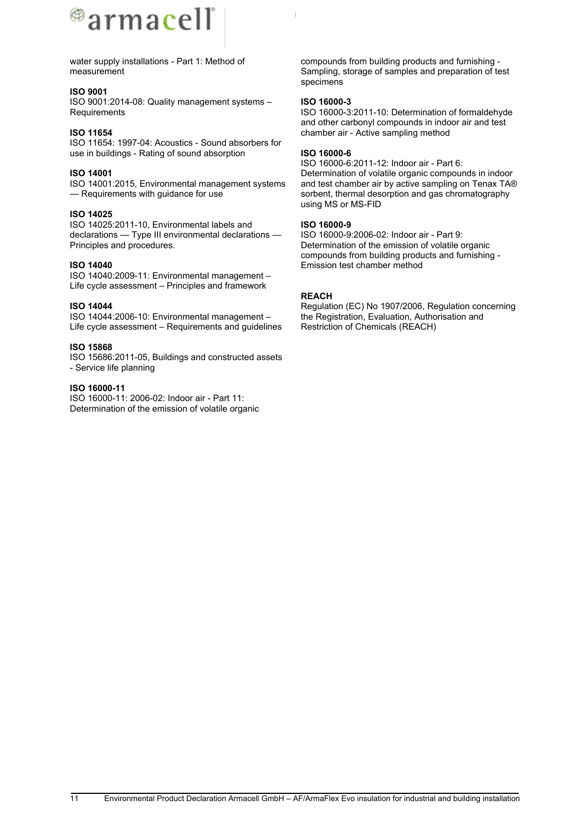

water supply installations - Part 1: Method of measurement

#### **ISO 9001**

ISO 9001:2014-08: Quality management systems – **Requirements** 

#### **ISO 11654**

ISO 11654: 1997-04: Acoustics - Sound absorbers for use in buildings - Rating of sound absorption

#### **ISO 14001**

ISO 14001:2015, Environmental management systems — Requirements with guidance for use

#### **ISO 14025**

ISO 14025:2011-10, Environmental labels and declarations — Type III environmental declarations — Principles and procedures.

#### **ISO 14040**

ISO 14040:2009-11: Environmental management – Life cycle assessment – Principles and framework

#### **ISO 14044**

ISO 14044:2006-10: Environmental management – Life cycle assessment – Requirements and guidelines

#### **ISO 15868**

ISO 15686:2011-05, Buildings and constructed assets - Service life planning

#### **ISO 16000-11**

ISO 16000-11: 2006-02: Indoor air - Part 11: Determination of the emission of volatile organic

compounds from building products and furnishing - Sampling, storage of samples and preparation of test specimens

#### **ISO 16000-3**

ISO 16000-3:2011-10: Determination of formaldehyde and other carbonyl compounds in indoor air and test chamber air - Active sampling method

#### **ISO 16000-6**

ISO 16000-6:2011-12: Indoor air - Part 6: Determination of volatile organic compounds in indoor and test chamber air by active sampling on Tenax TA® sorbent, thermal desorption and gas chromatography using MS or MS-FID

#### **ISO 16000-9**

ISO 16000-9:2006-02: Indoor air - Part 9: Determination of the emission of volatile organic compounds from building products and furnishing - Emission test chamber method

#### **REACH**

Regulation (EC) No 1907/2006, Regulation concerning the Registration, Evaluation, Authorisation and Restriction of Chemicals (REACH)